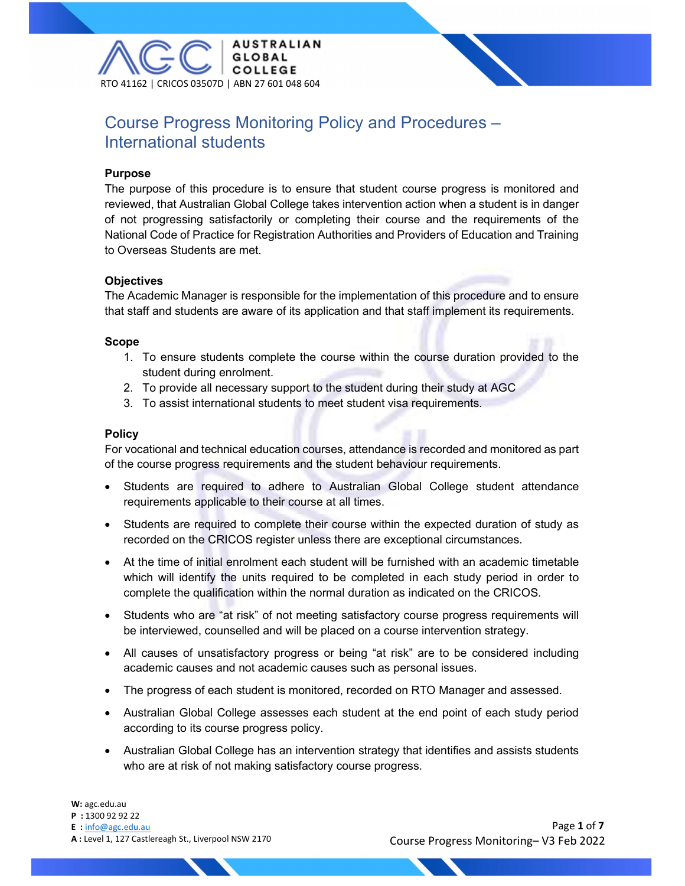

# Course Progress Monitoring Policy and Procedures – International students

#### Purpose

The purpose of this procedure is to ensure that student course progress is monitored and reviewed, that Australian Global College takes intervention action when a student is in danger of not progressing satisfactorily or completing their course and the requirements of the National Code of Practice for Registration Authorities and Providers of Education and Training to Overseas Students are met.

### **Objectives**

The Academic Manager is responsible for the implementation of this procedure and to ensure that staff and students are aware of its application and that staff implement its requirements.

### Scope

- 1. To ensure students complete the course within the course duration provided to the student during enrolment.
- 2. To provide all necessary support to the student during their study at AGC
- 3. To assist international students to meet student visa requirements.

### **Policy**

For vocational and technical education courses, attendance is recorded and monitored as part of the course progress requirements and the student behaviour requirements.

- Students are required to adhere to Australian Global College student attendance requirements applicable to their course at all times.
- Students are required to complete their course within the expected duration of study as recorded on the CRICOS register unless there are exceptional circumstances.
- At the time of initial enrolment each student will be furnished with an academic timetable which will identify the units required to be completed in each study period in order to complete the qualification within the normal duration as indicated on the CRICOS.
- Students who are "at risk" of not meeting satisfactory course progress requirements will be interviewed, counselled and will be placed on a course intervention strategy.
- All causes of unsatisfactory progress or being "at risk" are to be considered including academic causes and not academic causes such as personal issues.
- The progress of each student is monitored, recorded on RTO Manager and assessed.
- Australian Global College assesses each student at the end point of each study period according to its course progress policy.
- Australian Global College has an intervention strategy that identifies and assists students who are at risk of not making satisfactory course progress.

W: agc.edu.au

- P : 1300 92 92 22
- E : info@agc.edu.au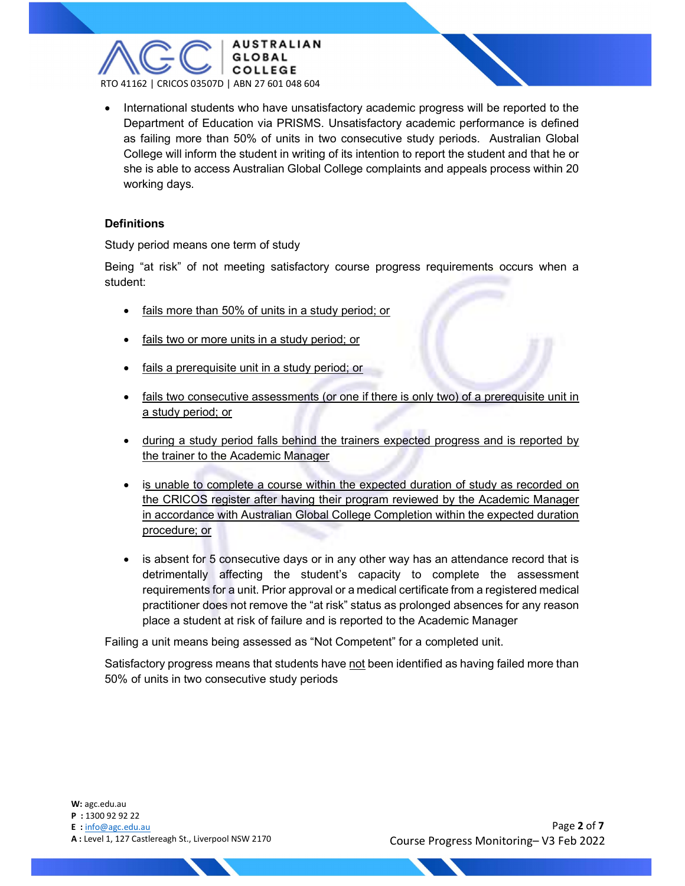

• International students who have unsatisfactory academic progress will be reported to the Department of Education via PRISMS. Unsatisfactory academic performance is defined as failing more than 50% of units in two consecutive study periods. Australian Global College will inform the student in writing of its intention to report the student and that he or she is able to access Australian Global College complaints and appeals process within 20 working days.

### **Definitions**

Study period means one term of study

Being "at risk" of not meeting satisfactory course progress requirements occurs when a student:

- fails more than 50% of units in a study period; or
- fails two or more units in a study period; or
- fails a prerequisite unit in a study period; or
- fails two consecutive assessments (or one if there is only two) of a prerequisite unit in a study period; or
- during a study period falls behind the trainers expected progress and is reported by the trainer to the Academic Manager
- is unable to complete a course within the expected duration of study as recorded on the CRICOS register after having their program reviewed by the Academic Manager in accordance with Australian Global College Completion within the expected duration procedure; or
- is absent for 5 consecutive days or in any other way has an attendance record that is detrimentally affecting the student's capacity to complete the assessment requirements for a unit. Prior approval or a medical certificate from a registered medical practitioner does not remove the "at risk" status as prolonged absences for any reason place a student at risk of failure and is reported to the Academic Manager

Failing a unit means being assessed as "Not Competent" for a completed unit.

Satisfactory progress means that students have not been identified as having failed more than 50% of units in two consecutive study periods

W: agc.edu.au P : 1300 92 92 22 E : info@agc.edu.au A : Level 1, 127 Castlereagh St., Liverpool NSW 2170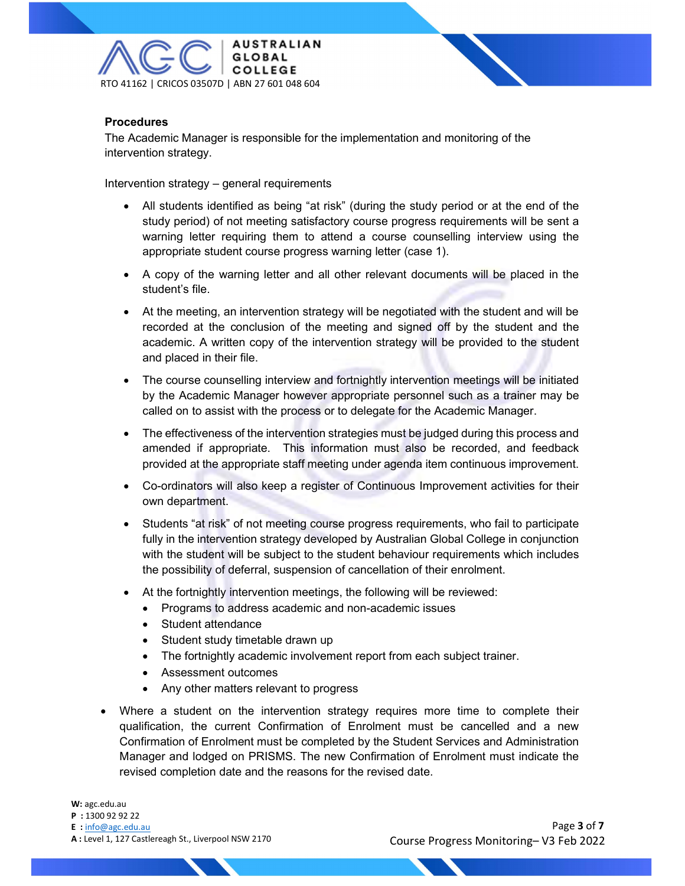

## **Procedures**

The Academic Manager is responsible for the implementation and monitoring of the intervention strategy.

Intervention strategy – general requirements

- All students identified as being "at risk" (during the study period or at the end of the study period) of not meeting satisfactory course progress requirements will be sent a warning letter requiring them to attend a course counselling interview using the appropriate student course progress warning letter (case 1).
- A copy of the warning letter and all other relevant documents will be placed in the student's file.
- At the meeting, an intervention strategy will be negotiated with the student and will be recorded at the conclusion of the meeting and signed off by the student and the academic. A written copy of the intervention strategy will be provided to the student and placed in their file.
- The course counselling interview and fortnightly intervention meetings will be initiated by the Academic Manager however appropriate personnel such as a trainer may be called on to assist with the process or to delegate for the Academic Manager.
- The effectiveness of the intervention strategies must be judged during this process and amended if appropriate. This information must also be recorded, and feedback provided at the appropriate staff meeting under agenda item continuous improvement.
- Co-ordinators will also keep a register of Continuous Improvement activities for their own department.
- Students "at risk" of not meeting course progress requirements, who fail to participate fully in the intervention strategy developed by Australian Global College in conjunction with the student will be subject to the student behaviour requirements which includes the possibility of deferral, suspension of cancellation of their enrolment.
- At the fortnightly intervention meetings, the following will be reviewed:
	- Programs to address academic and non-academic issues
	- Student attendance
	- Student study timetable drawn up
	- The fortnightly academic involvement report from each subject trainer.
	- Assessment outcomes
	- Any other matters relevant to progress
- Where a student on the intervention strategy requires more time to complete their qualification, the current Confirmation of Enrolment must be cancelled and a new Confirmation of Enrolment must be completed by the Student Services and Administration Manager and lodged on PRISMS. The new Confirmation of Enrolment must indicate the revised completion date and the reasons for the revised date.

E : info@agc.edu.au

A : Level 1, 127 Castlereagh St., Liverpool NSW 2170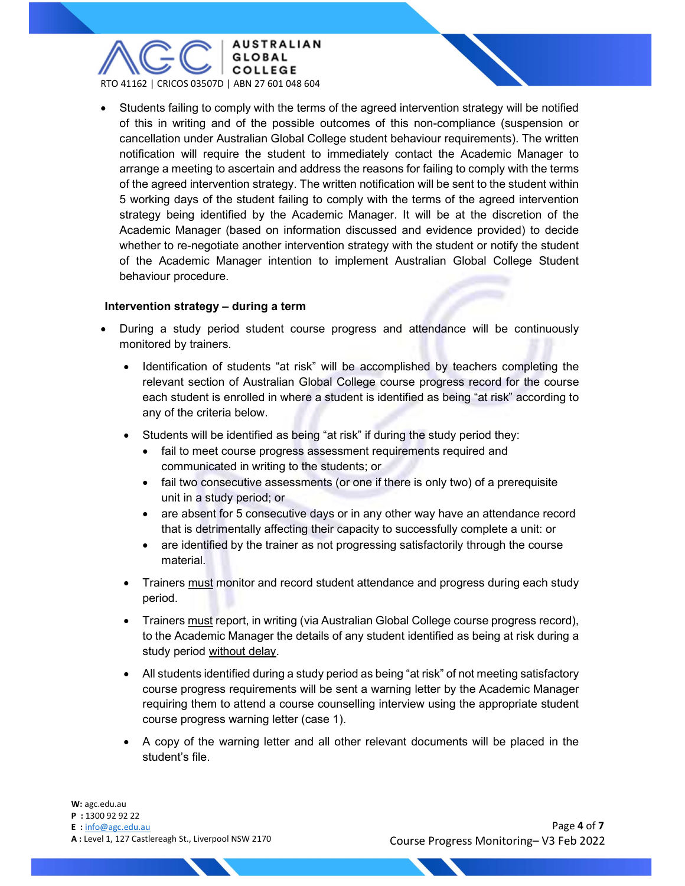

 Students failing to comply with the terms of the agreed intervention strategy will be notified of this in writing and of the possible outcomes of this non-compliance (suspension or cancellation under Australian Global College student behaviour requirements). The written notification will require the student to immediately contact the Academic Manager to arrange a meeting to ascertain and address the reasons for failing to comply with the terms of the agreed intervention strategy. The written notification will be sent to the student within 5 working days of the student failing to comply with the terms of the agreed intervention strategy being identified by the Academic Manager. It will be at the discretion of the Academic Manager (based on information discussed and evidence provided) to decide whether to re-negotiate another intervention strategy with the student or notify the student of the Academic Manager intention to implement Australian Global College Student behaviour procedure.

#### Intervention strategy – during a term

- During a study period student course progress and attendance will be continuously monitored by trainers.
	- Identification of students "at risk" will be accomplished by teachers completing the relevant section of Australian Global College course progress record for the course each student is enrolled in where a student is identified as being "at risk" according to any of the criteria below.
	- Students will be identified as being "at risk" if during the study period they:
		- fail to meet course progress assessment requirements required and communicated in writing to the students; or
		- fail two consecutive assessments (or one if there is only two) of a prerequisite unit in a study period; or
		- are absent for 5 consecutive days or in any other way have an attendance record that is detrimentally affecting their capacity to successfully complete a unit: or
		- are identified by the trainer as not progressing satisfactorily through the course material.
	- Trainers must monitor and record student attendance and progress during each study period.
	- Trainers must report, in writing (via Australian Global College course progress record), to the Academic Manager the details of any student identified as being at risk during a study period without delay.
	- All students identified during a study period as being "at risk" of not meeting satisfactory course progress requirements will be sent a warning letter by the Academic Manager requiring them to attend a course counselling interview using the appropriate student course progress warning letter (case 1).
	- A copy of the warning letter and all other relevant documents will be placed in the student's file.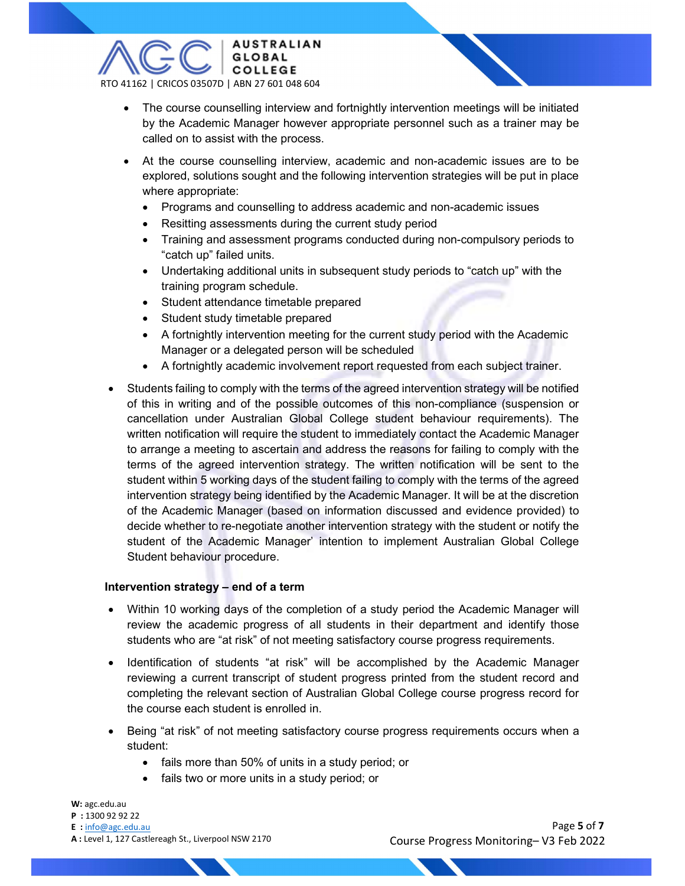

- The course counselling interview and fortnightly intervention meetings will be initiated by the Academic Manager however appropriate personnel such as a trainer may be called on to assist with the process.
- At the course counselling interview, academic and non-academic issues are to be explored, solutions sought and the following intervention strategies will be put in place where appropriate:
	- Programs and counselling to address academic and non-academic issues
	- Resitting assessments during the current study period
	- Training and assessment programs conducted during non-compulsory periods to "catch up" failed units.
	- Undertaking additional units in subsequent study periods to "catch up" with the training program schedule.
	- Student attendance timetable prepared
	- Student study timetable prepared
	- A fortnightly intervention meeting for the current study period with the Academic Manager or a delegated person will be scheduled
	- A fortnightly academic involvement report requested from each subject trainer.
- Students failing to comply with the terms of the agreed intervention strategy will be notified of this in writing and of the possible outcomes of this non-compliance (suspension or cancellation under Australian Global College student behaviour requirements). The written notification will require the student to immediately contact the Academic Manager to arrange a meeting to ascertain and address the reasons for failing to comply with the terms of the agreed intervention strategy. The written notification will be sent to the student within 5 working days of the student failing to comply with the terms of the agreed intervention strategy being identified by the Academic Manager. It will be at the discretion of the Academic Manager (based on information discussed and evidence provided) to decide whether to re-negotiate another intervention strategy with the student or notify the student of the Academic Manager' intention to implement Australian Global College Student behaviour procedure.

## Intervention strategy – end of a term

- Within 10 working days of the completion of a study period the Academic Manager will review the academic progress of all students in their department and identify those students who are "at risk" of not meeting satisfactory course progress requirements.
- Identification of students "at risk" will be accomplished by the Academic Manager reviewing a current transcript of student progress printed from the student record and completing the relevant section of Australian Global College course progress record for the course each student is enrolled in.
- Being "at risk" of not meeting satisfactory course progress requirements occurs when a student:
	- fails more than 50% of units in a study period; or
	- fails two or more units in a study period; or

W: agc.edu.au

- P : 1300 92 92 22
- E : info@agc.edu.au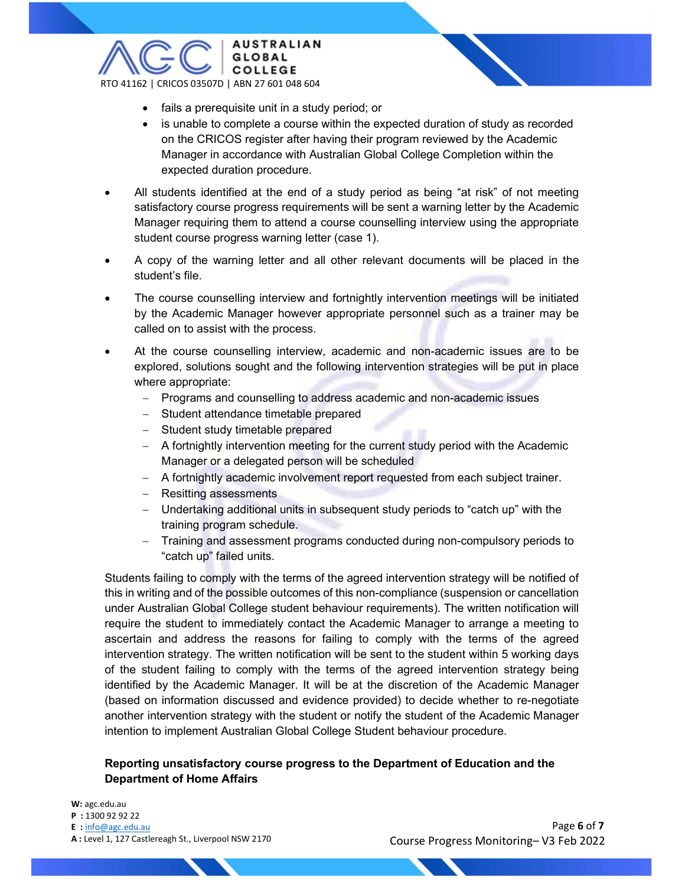

- fails a prerequisite unit in a study period; or
- is unable to complete a course within the expected duration of study as recorded on the CRICOS register after having their program reviewed by the Academic Manager in accordance with Australian Global College Completion within the expected duration procedure.
- All students identified at the end of a study period as being "at risk" of not meeting satisfactory course progress requirements will be sent a warning letter by the Academic Manager requiring them to attend a course counselling interview using the appropriate student course progress warning letter (case 1).
- A copy of the warning letter and all other relevant documents will be placed in the student's file.
- The course counselling interview and fortnightly intervention meetings will be initiated by the Academic Manager however appropriate personnel such as a trainer may be called on to assist with the process.
- At the course counselling interview, academic and non-academic issues are to be explored, solutions sought and the following intervention strategies will be put in place where appropriate:
	- Programs and counselling to address academic and non-academic issues
	- Student attendance timetable prepared
	- Student study timetable prepared
	- A fortnightly intervention meeting for the current study period with the Academic Manager or a delegated person will be scheduled
	- A fortnightly academic involvement report requested from each subject trainer.
	- Resitting assessments
	- Undertaking additional units in subsequent study periods to "catch up" with the training program schedule.
	- Training and assessment programs conducted during non-compulsory periods to "catch up" failed units.

Students failing to comply with the terms of the agreed intervention strategy will be notified of this in writing and of the possible outcomes of this non-compliance (suspension or cancellation under Australian Global College student behaviour requirements). The written notification will require the student to immediately contact the Academic Manager to arrange a meeting to ascertain and address the reasons for failing to comply with the terms of the agreed intervention strategy. The written notification will be sent to the student within 5 working days of the student failing to comply with the terms of the agreed intervention strategy being identified by the Academic Manager. It will be at the discretion of the Academic Manager (based on information discussed and evidence provided) to decide whether to re-negotiate another intervention strategy with the student or notify the student of the Academic Manager intention to implement Australian Global College Student behaviour procedure.

## Reporting unsatisfactory course progress to the Department of Education and the Department of Home Affairs

W: agc.edu.au

- P : 1300 92 92 22
- E : info@agc.edu.au